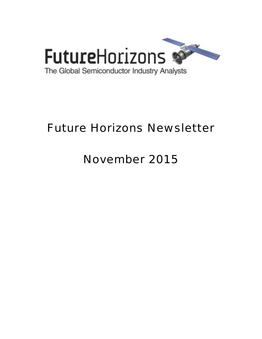

# Future Horizons Newsletter

# November 2015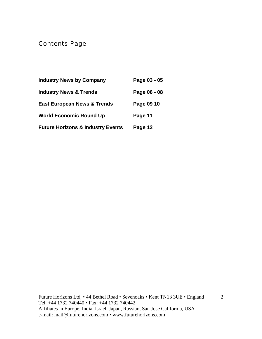Contents Page

| <b>Industry News by Company</b>              | Page 03 - 05 |
|----------------------------------------------|--------------|
| <b>Industry News &amp; Trends</b>            | Page 06 - 08 |
| <b>East European News &amp; Trends</b>       | Page 09 10   |
| <b>World Economic Round Up</b>               | Page 11      |
| <b>Future Horizons &amp; Industry Events</b> | Page 12      |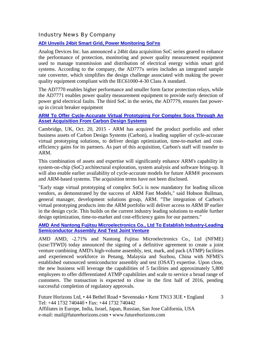#### Industry News By Company

#### **[ADI Unveils 24bit Smart Grid, Power Monitoring Sol'ns](http://www.eetindia.co.in/ART_8800716989_1800008_NP_0f380e42.HTM?click_from=8800126010,9950114561,2015-11-03,EEIOL,ARTICLE_ALERT)**

Analog Devices Inc. has announced a 24bit data acquisition SoC series geared to enhance the performance of protection, monitoring and power quality measurement equipment used to manage transmission and distribution of electrical energy within smart grid systems. According to the company, the AD777x series includes an integrated sample rate converter, which simplifies the design challenge associated with making the power quality equipment compliant with the IEC61000-4-30 Class A standard.

The AD7770 enables higher performance and smaller form factor protection relays, while the AD7771 enables power quality measurement equipment to provide early detection of power grid electrical faults. The third SoC in the series, the AD7779, ensures fast powerup in circuit breaker equipment

#### **[ARM To Offer Cycle-Accurate Virtual Prototyping For Complex Socs Through An](http://www.arm.com/about/newsroom/arm-to-offer-cycle-accurate-virtual-prototyping-for-complex-socs-through-an-asset-acquisition-from.php?utm_source=hs_email&utm_medium=email&utm_content=22942158&_hsenc=p2ANqtz-__8Xqu_Xf6Zf688Dzd59MGTmkBVBFrRR-yA6mOxT-UFHvZ)  [Asset Acquisition From Carbon Design Systems](http://www.arm.com/about/newsroom/arm-to-offer-cycle-accurate-virtual-prototyping-for-complex-socs-through-an-asset-acquisition-from.php?utm_source=hs_email&utm_medium=email&utm_content=22942158&_hsenc=p2ANqtz-__8Xqu_Xf6Zf688Dzd59MGTmkBVBFrRR-yA6mOxT-UFHvZ)**

Cambridge, UK, Oct. 20, 2015 - ARM has acquired the product portfolio and other business assets of Carbon Design Systems (Carbon), a leading supplier of cycle-accurate virtual prototyping solutions, to deliver design optimization, time-to-market and costefficiency gains for its partners. As part of this acquisition, Carbon's staff will transfer to ARM.

This combination of assets and expertise will significantly enhance ARM's capability in system-on-chip (SoC) architectural exploration, system analysis and software bring-up. It will also enable earlier availability of cycle-accurate models for future ARM® processors and ARM-based systems. The acquisition terms have not been disclosed.

"Early stage virtual prototyping of complex SoCs is now mandatory for leading silicon vendors, as demonstrated by the success of ARM Fast Models," said Hobson Bullman, general manager, development solutions group, ARM. "The integration of Carbon's virtual prototyping products into the ARM portfolio will deliver access to ARM IP earlier in the design cycle. This builds on the current industry leading solutions to enable further design optimization, time-to-market and cost-efficiency gains for our partners."

#### **[AMD And Nantong Fujitsu Microelectronics Co., Ltd To Establish Industry-Leading](http://www.marketwatch.com/story/amd-and-nantong-fujitsu-microelectronics-co-ltd-to-establish-industry-leading-semiconductor-assembly-and-test-joint-venture-2015-10-15)  [Semiconductor Assembly And Test Joint Venture](http://www.marketwatch.com/story/amd-and-nantong-fujitsu-microelectronics-co-ltd-to-establish-industry-leading-semiconductor-assembly-and-test-joint-venture-2015-10-15)**

AMD AMD, -2.71% and Nantong Fujitsu Microelectronics Co., Ltd (NFME) (szse:TFWD) today announced the signing of a definitive agreement to create a joint venture combining AMD's high-volume assembly, test, mark, and pack (ATMP) facilities and experienced workforce in Penang, Malaysia and Suzhou, China with NFME's established outsourced semiconductor assembly and test (OSAT) expertise. Upon close, the new business will leverage the capabilities of 5 facilities and approximately 5,800 employees to offer differentiated ATMP capabilities and scale to service a broad range of customers. The transaction is expected to close in the first half of 2016, pending successful completion of regulatory approvals.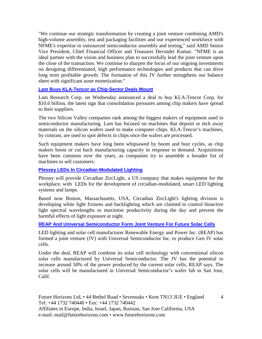"We continue our strategic transformation by creating a joint venture combining AMD's high-volume assembly, test and packaging facilities and our experienced workforce with NFME's expertise in outsourced semiconductor assembly and testing," said AMD Senior Vice President, Chief Financial Officer and Treasurer Devinder Kumar. "NFME is an ideal partner with the vision and business plan to successfully lead the joint venture upon the close of the transaction. We continue to sharpen the focus of our ongoing investments on designing differentiated, high performance technologies and products that can drive long term profitable growth. The formation of this JV further strengthens our balance sheet with significant asset monetization."

#### **[Lam Buys KLA-Tencor as Chip-Sector Deals Mount](http://www.wsj.com/articles/semiconductor-firm-lam-research-to-buy-kla-tencor-1445419669?alg=y)**

Lam Research Corp. on Wednesday announced a deal to buy KLA-Tencor Corp. for \$10.6 billion, the latest sign that consolidation pressures among chip makers have spread to their suppliers.

The two Silicon Valley companies rank among the biggest makers of equipment used in semiconductor manufacturing. Lam has focused on machines that deposit or etch away materials on the silicon wafers used to make computer chips. KLA-Tencor's machines, by contrast, are used to spot defects in chips once the wafers are processed.

Such equipment makers have long been whipsawed by boom and bust cycles, as chip makers boost or cut back manufacturing capacity in response to demand. Acquisitions have been common over the years, as companies try to assemble a broader list of machines to sell customers.

**[Plessey LEDs In Circadian-Modulated Lighting](http://www.compoundsemiconductor.net/article/98087-plessey-leds-in-circadian-modulated-lighting.html)**

Plessey will provide Circadian ZircLight, a US company that makes equipment for the workplace, with LEDs for the development of circadian-modulated, smart LED lighting systems and lamps.

Based near Boston, Massachusetts, USA, Circadian ZircLight's lighting division is developing white light fixtures and backlighting which are claimed to control bioactive light spectral wavelengths to maximise productivity during the day and prevent the harmful effects of light exposure at night.

#### **[REAP And Universal Semiconductor Form Joint Venture For Future Solar Cells](http://electronics360.globalspec.com/article/5842/reap-and-universal-semiconductor-form-joint-venture-for-future-solar-cells)**

LED lighting and solar cell manufacturer Renewable Energy and Power Inc. (REAP) has formed a joint venture (JV) with Universal Semiconductor Inc. to produce Gen IV solar cells.

Under the deal, REAP will combine its solar cell technology with conventional silicon solar cells manufactured by Universal Semiconductor. The JV has the potential to increase around 50% of the power produced by the current solar cells, REAP says. The solar cells will be manufactured in Universal Semiconductor's wafer fab in San Jose, Calif.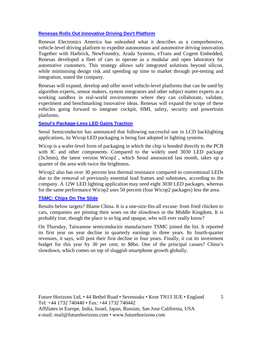#### **[Renesas Rolls Out Innovative Driving Dev't Platform](http://www.eetindia.co.in/ART_8800716603_1800000_NP_b4e31096.HTM?click_from=8800125533,9950114561,2015-10-20,EEIOL,ARTICLE_ALERT)**

Renesas Electronics America has unleashed what it describes as a comprehensive, vehicle-level driving platform to expedite autonomous and automotive driving innovation. Together with Harbrick, NewFoundry, Arada Systems, eTrans and Cogent Embedded, Renesas developed a fleet of cars to operate as a modular and open laboratory for automotive customers. This strategy allows safe integrated solutions beyond silicon, while minimising design risk and speeding up time to market through pre-testing and integration, stated the company.

Renesas will expand, develop and offer novel vehicle-level platforms that can be used by algorithm experts, sensor makers, system integrators and other subject matter experts as a working sandbox in real-world environments where they can collaborate, validate, experiment and benchmarking innovative ideas. Renesas will expand the scope of these vehicles going forward to integrate cockpit, HMI, safety, security and powertrain platforms.

#### **[Seoul's Package-Less LED Gains Traction](http://www.compoundsemiconductor.net/article/98088-seouls-package-less-led-gains-traction.html)**

Seoul Semiconductor has announced that following successful use in LCD backlighting applications, its Wicop LED packaging is being fast adopted in lighting systems.

Wicop is a wafer-level form of packaging in which the chip is bonded directly to the PCB with IC and other components. Compared to the widely used 3030 LED package (3x3mm), the latest version Wicop2 , which Seoul announced last month, takes up a quarter of the area with twice the brightness.

Wicop2 also has over 30 percent less thermal resistance compared to conventional LEDs due to the removal of previously essential lead frames and substrates, according to the company. A 12W LED lighting application may need eight 3030 LED packages, whereas for the same performance Wicop2 uses 50 percent (four Wicop2 packages) less the area.

#### **[TSMC: Chips On The Slide](http://www.ft.com/cms/s/3/a04683ea-7337-11e5-a129-3fcc4f641d98.html?ftcamp=crm/email/20151016/nbe/AsiaPacificBusiness/product#axzz3plRWr7mM)**

Results below targets? Blame China. It is a one-size-fits-all excuse: from fried chicken to cars, companies are pinning their woes on the slowdown in the Middle Kingdom. It is probably true, though the place is so big and opaque, who will ever really know?

On Thursday, Taiwanese semiconductor manufacturer TSMC joined the list. It reported its first year on year decline in quarterly earnings in three years. Its fourth-quarter revenues, it says, will post their first decline in four years. Finally, it cut its investment budget for this year by 30 per cent, to \$8bn. One of the principal causes? China's slowdown, which comes on top of sluggish smartphone growth globally.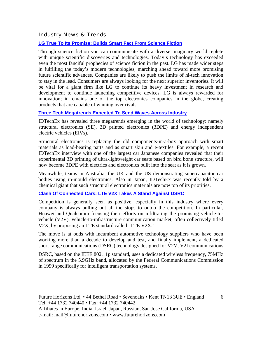Industry News & Trends

#### **[LG True To Its Promise: Builds Smart Fact From Science Fiction](http://saudigazette.com.sa/business/lg-true-to-its-promise-builds-smart-fact-from-science-fiction/)**

Through science fiction you can communicate with a diverse imaginary world replete with unique scientific discoveries and technologies. Today's technology has exceeded even the most fanciful prophecies of science fiction in the past. LG has made wider steps in fulfilling the today's modern technologies, marching ahead toward more promising future scientific advances. Companies are likely to push the limits of hi-tech innovation to stay in the lead. Consumers are always looking for the next superior inventories. It will be vital for a giant firm like LG to continue its heavy investment in research and development to continue launching competitive devices. LG is always rewarded for innovation; it remains one of the top electronics companies in the globe, creating products that are capable of winning over rivals.

#### **[Three Tech Megatrends Expected To Send Waves Across Industry](http://www.eetindia.co.in/ART_8800716577_1800000_NT_fdab663b.HTM)**

IDTechEx has revealed three megatrends emerging in the world of technology: namely structural electronics (SE), 3D printed electronics (3DPE) and energy independent electric vehicles (EIVs).

Structural electronics is replacing the old components-in-a-box approach with smart materials as load-bearing parts and as smart skin and e-textiles. For example, a recent IDTechEx interview with one of the largest car Japanese companies revealed that their experimental 3D printing of ultra-lightweight car seats based on bird bone structure, will now become 3DPE with electrics and electronics built into the seat as it is grown.

Meanwhile, teams in Australia, the UK and the US demonstrating supercapacitor car bodies using in-mould electronics. Also in Japan, IDTechEx was recently told by a chemical giant that such structural electronics materials are now top of its priorities.

#### **[Clash Of Connected Cars: LTE V2X Takes A Stand Against DSRC](http://www.eetindia.co.in/ART_8800716575_1800005_NT_f71551c4.HTM?click_from=8800125483,9950114561,2015-10-19,EEIOL,ARTICLE_ALERT)**

Competition is generally seen as positive, especially in this industry where every company is always pulling out all the stops to outdo the competition. In particular, Huawei and Qualcomm focusing their efforts on infiltrating the promising vehicle-tovehicle (V2V), vehicle-to-infrastructure communication market, often collectively titled V2X, by proposing an LTE standard called "LTE V2X."

The move is at odds with incumbent automotive technology suppliers who have been working more than a decade to develop and test, and finally implement, a dedicated short-range communications (DSRC) technology designed for V2V, V2I communications.

DSRC, based on the IEEE 802.11p standard, uses a dedicated wireless frequency, 75MHz of spectrum in the 5.9GHz band, allocated by the Federal Communications Commission in 1999 specifically for intelligent transportation systems.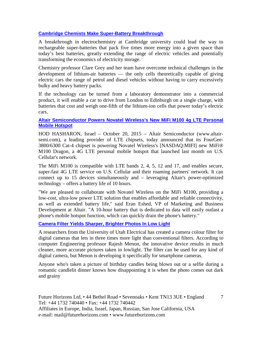#### **[Cambridge Chemists Make Super-Battery Breakthrough](http://www.ft.com/cms/s/0/149ca550-7e30-11e5-a1fe-567b37f80b64.html?ftcamp=crm/email/20151029/nbe/AsiaMorningHeadlines/product#axzz3qJoKKysg)**

A breakthrough in electrochemistry at Cambridge university could lead the way to rechargeable super-batteries that pack five times more energy into a given space than today's best batteries, greatly extending the range of electric vehicles and potentially transforming the economics of electricity storage.

Chemistry professor Clare Grey and her team have overcome technical challenges in the development of lithium-air batteries — the only cells theoretically capable of giving electric cars the range of petrol and diesel vehicles without having to carry excessively bulky and heavy battery packs.

If the technology can be turned from a laboratory demonstrator into a commercial product, it will enable a car to drive from London to Edinburgh on a single charge, with batteries that cost and weigh one-fifth of the lithium-ion cells that power today's electric cars.

#### **[Altair Semiconductor Powers Novatel Wireless's New MiFi M100 4g LTE Personal](http://www.fiercewireless.com/press-releases/altair-semiconductor-powers-novatel-wirelesss-new-mifi-m100-4g-lte-personal)  [Mobile Hotspot](http://www.fiercewireless.com/press-releases/altair-semiconductor-powers-novatel-wirelesss-new-mifi-m100-4g-lte-personal)**

HOD HASHARON, Israel – October 20, 2015 – Altair Semiconductor (www.altairsemi.com), a leading provider of LTE chipsets, today announced that its FourGee-3800/6300 Cat-4 chipset is powering Novatel Wireless's [NASDAQ:MIFI] new MiFi® M100 Dragon, a 4G LTE personal mobile hotspot that launched last month on U.S. Cellular's network.

The MiFi M100 is compatible with LTE bands 2, 4, 5, 12 and 17, and enables secure, super-fast 4G LTE service on U.S. Cellular and their roaming partners' network. It can connect up to 15 devices simultaneously and – leveraging Altair's power-optimized technology – offers a battery life of 10 hours.

"We are pleased to collaborate with Novatel Wireless on the MiFi M100, providing a low-cost, ultra-low power LTE solution that enables affordable and reliable connectivity, as well as extended battery life," said Eran Eshed, VP of Marketing and Business Development at Altair. "A 10-hour battery that is dedicated to data will easily outlast a phone's mobile hotspot function, which can quickly drain the phone's battery."

#### **[Camera Filter Yields Sharper, Brighter Photos In Low Light](http://www.eetindia.co.in/ART_8800716965_1800010_NT_847be60d.HTM)**

A researchers from the University of Utah Electrical has created a camera colour filter for digital cameras that lets in three times more light than conventional filters. According to computer Engineering professor Rajesh Menon, the innovative device results in much cleaner, more accurate pictures taken in lowlight. The filter can be used for any kind of digital camera, but Menon is developing it specifically for smartphone cameras.

Anyone who's taken a picture of birthday candles being blown out or a selfie during a romantic candlelit dinner knows how disappointing it is when the photo comes out dark and grainy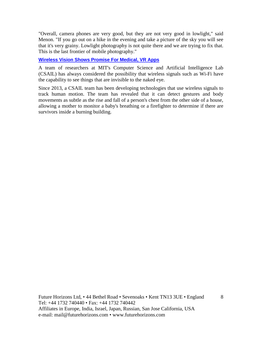"Overall, camera phones are very good, but they are not very good in lowlight," said Menon. "If you go out on a hike in the evening and take a picture of the sky you will see that it's very grainy. Lowlight photography is not quite there and we are trying to fix that. This is the last frontier of mobile photography."

#### **[Wireless Vision Shows Promise For Medical, VR Apps](http://www.eetindia.co.in/ART_8800716959_1800005_NT_4d1c1c55.HTM)**

A team of researchers at MIT's Computer Science and Artificial Intelligence Lab (CSAIL) has always considered the possibility that wireless signals such as Wi-Fi have the capability to see things that are invisible to the naked eye.

Since 2013, a CSAIL team has been developing technologies that use wireless signals to track human motion. The team has revealed that it can detect gestures and body movements as subtle as the rise and fall of a person's chest from the other side of a house, allowing a mother to monitor a baby's breathing or a firefighter to determine if there are survivors inside a burning building.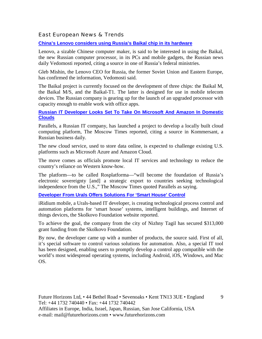East European News & Trends

**[China's Lenovo considers using Russia's Baikal chip in its hardware](http://www.marchmontnews.com/Technology-Innovation/Central-regions/21445-Chinas-Lenovo-considers-using-Russias-Baikal-chip-its-hardware-.html)**

Lenovo, a sizable Chinese computer maker, is said to be interested in using the Baikal, the new Russian computer processor, in its PCs and mobile gadgets, the Russian news daily Vedomosti reported, citing a source in one of Russia's federal ministries.

Gleb Mishin, the Lenovo CEO for Russia, the former Soviet Union and Eastern Europe, has confirmed the information, Vedomosti said.

The Baikal project is currently focused on the development of three chips: the Baikal M, the Baikal M/S, and the Baikal-T1. The latter is designed for use in mobile telecom devices. The Russian company is gearing up for the launch of an upgraded processor with capacity enough to enable work with office apps.

#### **[Russian IT Developer Looks Set To Take On Microsoft And Amazon In Domestic](http://www.marchmontnews.com/Technology-Innovation/Central-regions/21471-Russian-IT-developer-looks-set-take-Microsoft-and-Amazon-domestic-clouds-.html)  [Clouds](http://www.marchmontnews.com/Technology-Innovation/Central-regions/21471-Russian-IT-developer-looks-set-take-Microsoft-and-Amazon-domestic-clouds-.html)**

Parallels, a Russian IT company, has launched a project to develop a locally built cloud computing platform, The Moscow Times reported, citing a source in Kommersant, a Russian business daily.

The new cloud service, used to store data online, is expected to challenge existing U.S. platforms such as Microsoft Azure and Amazon Cloud.

The move comes as officials promote local IT services and technology to reduce the country's reliance on Western know-how.

The platform—to be called Rosplatforma—"will become the foundation of Russia's electronic sovereignty [and] a strategic export to countries seeking technological independence from the U.S.," The Moscow Times quoted Parallels as saying.

**[Developer From Urals Offers Solutions For 'Smart House' Control](http://www.marchmontnews.com/Technology-Innovation/Urals/21451-Developer-Urals-offers-solutions-for-%E2%80%98smart-house-control.html)**

iRidium mobile, a Urals-based IT developer, is creating technological process control and automation platforms for 'smart house' systems, intelligent buildings, and Internet of things devices, the Skolkovo Foundation website reported.

To achieve the goal, the company from the city of Nizhny Tagil has secured \$313,000 grant funding from the Skolkovo Foundation.

By now, the developer came up with a number of products, the source said. First of all, it's special software to control various solutions for automation. Also, a special IT tool has been designed, enabling users to promptly develop a control app compatible with the world's most widespread operating systems, including Android, iOS, Windows, and Mac OS.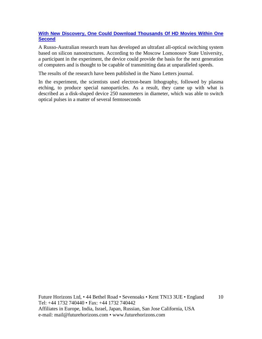#### **[With New Discovery, One Could Download Thousands Of HD Movies Within One](http://www.marchmontnews.com/Technology-Innovation/Central-regions/21472-With-new-discovery-one-could-download-thousands-HD-movies-within-one-second.html)  [Second](http://www.marchmontnews.com/Technology-Innovation/Central-regions/21472-With-new-discovery-one-could-download-thousands-HD-movies-within-one-second.html)**

A Russo-Australian research team has developed an ultrafast all-optical switching system based on silicon nanostructures. According to the Moscow Lomonosov State University, a participant in the experiment, the device could provide the basis for the next generation of computers and is thought to be capable of transmitting data at unparalleled speeds.

The results of the research have been published in the Nano Letters journal.

In the experiment, the scientists used electron-beam lithography, followed by plasma etching, to produce special nanoparticles. As a result, they came up with what is described as a disk-shaped device 250 nanometers in diameter, which was able to switch optical pulses in a matter of several femtoseconds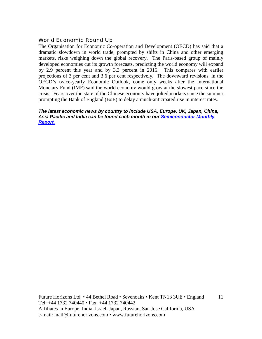#### World Economic Round Up

The Organisation for Economic Co-operation and Development (OECD) has said that a dramatic slowdown in world trade, prompted by shifts in China and other emerging markets, risks weighing down the global recovery. The Paris-based group of mainly developed economies cut its growth forecasts, predicting the world economy will expand by 2.9 percent this year and by 3.3 percent in 2016. This compares with earlier projections of 3 per cent and 3.6 per cent respectively. The downward revisions, in the OECD's twice-yearly Economic Outlook, come only weeks after the International Monetary Fund (IMF) said the world economy would grow at the slowest pace since the crisis. Fears over the state of the Chinese economy have jolted markets since the summer, prompting the Bank of England (BoE) to delay a much-anticipated rise in interest rates.

*The latest economic news by country to include USA, Europe, UK, Japan, China, Asia Pacific and India can be found each month in our [Semiconductor Monthly](http://www.futurehorizons.com/page/18/Global-Semiconductor-Report)  [Report.](http://www.futurehorizons.com/page/18/Global-Semiconductor-Report)*